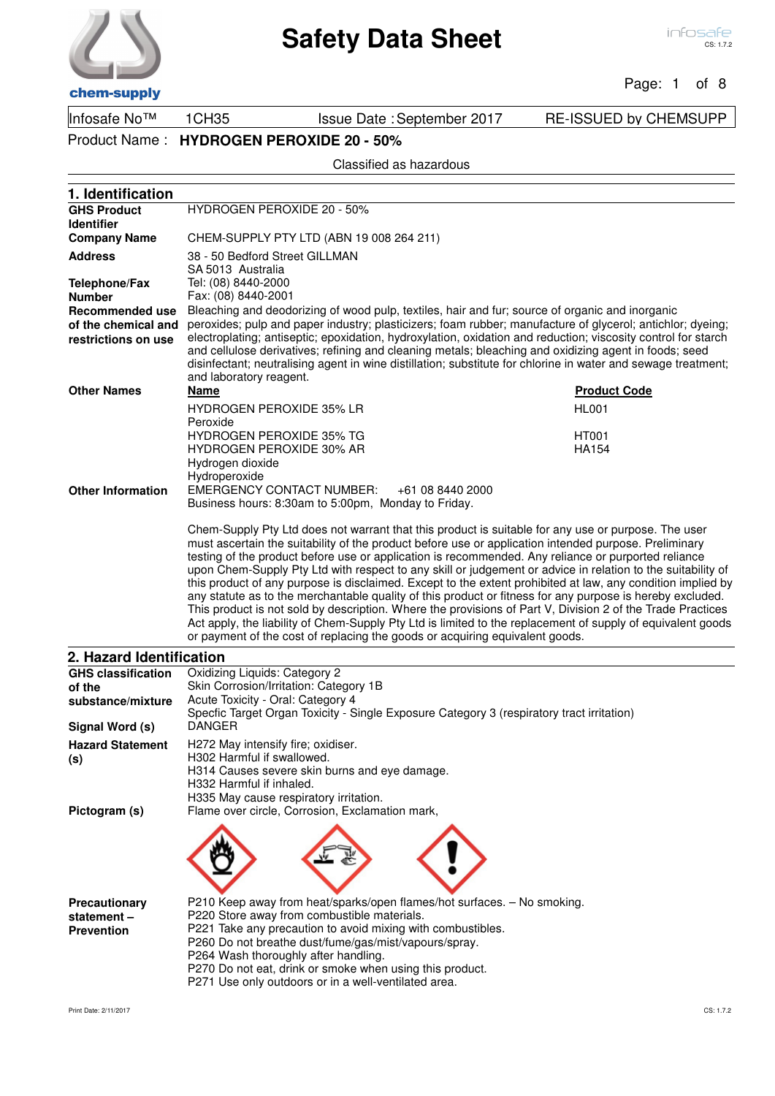Page: 1 of 8

Infosafe No™ 1CH35 Issue Date : September 2017 RE-ISSUED by CHEMSUPP Product Name : **HYDROGEN PEROXIDE 20 - 50%**

**1. Identification**

Classified as hazardous

| <b>GHS Product</b>        | <b>HYDROGEN PEROXIDE 20 - 50%</b>                                                                                                                                                                                  |                     |  |
|---------------------------|--------------------------------------------------------------------------------------------------------------------------------------------------------------------------------------------------------------------|---------------------|--|
| <b>Identifier</b>         |                                                                                                                                                                                                                    |                     |  |
| <b>Company Name</b>       | CHEM-SUPPLY PTY LTD (ABN 19 008 264 211)                                                                                                                                                                           |                     |  |
| <b>Address</b>            | 38 - 50 Bedford Street GILLMAN<br>SA 5013 Australia                                                                                                                                                                |                     |  |
| <b>Telephone/Fax</b>      |                                                                                                                                                                                                                    |                     |  |
| <b>Number</b>             | Tel: (08) 8440-2000<br>Fax: (08) 8440-2001                                                                                                                                                                         |                     |  |
| <b>Recommended use</b>    | Bleaching and deodorizing of wood pulp, textiles, hair and fur; source of organic and inorganic                                                                                                                    |                     |  |
| of the chemical and       | peroxides; pulp and paper industry; plasticizers; foam rubber; manufacture of glycerol; antichlor; dyeing;                                                                                                         |                     |  |
| restrictions on use       | electroplating; antiseptic; epoxidation, hydroxylation, oxidation and reduction; viscosity control for starch                                                                                                      |                     |  |
|                           | and cellulose derivatives; refining and cleaning metals; bleaching and oxidizing agent in foods; seed                                                                                                              |                     |  |
|                           | disinfectant; neutralising agent in wine distillation; substitute for chlorine in water and sewage treatment;                                                                                                      |                     |  |
|                           | and laboratory reagent.                                                                                                                                                                                            |                     |  |
| <b>Other Names</b>        | <b>Name</b>                                                                                                                                                                                                        | <b>Product Code</b> |  |
|                           | <b>HYDROGEN PEROXIDE 35% LR</b>                                                                                                                                                                                    | <b>HL001</b>        |  |
|                           | Peroxide                                                                                                                                                                                                           |                     |  |
|                           | <b>HYDROGEN PEROXIDE 35% TG</b>                                                                                                                                                                                    | <b>HT001</b>        |  |
|                           | <b>HYDROGEN PEROXIDE 30% AR</b><br>Hydrogen dioxide                                                                                                                                                                | <b>HA154</b>        |  |
|                           | Hydroperoxide                                                                                                                                                                                                      |                     |  |
| <b>Other Information</b>  | <b>EMERGENCY CONTACT NUMBER:</b><br>+61 08 8440 2000                                                                                                                                                               |                     |  |
|                           | Business hours: 8:30am to 5:00pm, Monday to Friday.                                                                                                                                                                |                     |  |
|                           |                                                                                                                                                                                                                    |                     |  |
|                           | Chem-Supply Pty Ltd does not warrant that this product is suitable for any use or purpose. The user                                                                                                                |                     |  |
|                           | must ascertain the suitability of the product before use or application intended purpose. Preliminary                                                                                                              |                     |  |
|                           | testing of the product before use or application is recommended. Any reliance or purported reliance<br>upon Chem-Supply Pty Ltd with respect to any skill or judgement or advice in relation to the suitability of |                     |  |
|                           | this product of any purpose is disclaimed. Except to the extent prohibited at law, any condition implied by                                                                                                        |                     |  |
|                           | any statute as to the merchantable quality of this product or fitness for any purpose is hereby excluded.                                                                                                          |                     |  |
|                           | This product is not sold by description. Where the provisions of Part V, Division 2 of the Trade Practices                                                                                                         |                     |  |
|                           | Act apply, the liability of Chem-Supply Pty Ltd is limited to the replacement of supply of equivalent goods                                                                                                        |                     |  |
|                           |                                                                                                                                                                                                                    |                     |  |
|                           | or payment of the cost of replacing the goods or acquiring equivalent goods.                                                                                                                                       |                     |  |
| 2. Hazard Identification  |                                                                                                                                                                                                                    |                     |  |
| <b>GHS classification</b> | Oxidizing Liquids: Category 2                                                                                                                                                                                      |                     |  |
| of the                    | Skin Corrosion/Irritation: Category 1B                                                                                                                                                                             |                     |  |
| substance/mixture         | Acute Toxicity - Oral: Category 4                                                                                                                                                                                  |                     |  |
|                           | Specfic Target Organ Toxicity - Single Exposure Category 3 (respiratory tract irritation)                                                                                                                          |                     |  |
| Signal Word (s)           | <b>DANGER</b>                                                                                                                                                                                                      |                     |  |
| <b>Hazard Statement</b>   | H272 May intensify fire; oxidiser.                                                                                                                                                                                 |                     |  |
| (s)                       | H302 Harmful if swallowed.                                                                                                                                                                                         |                     |  |
|                           | H314 Causes severe skin burns and eye damage.<br>H332 Harmful if inhaled.                                                                                                                                          |                     |  |
|                           | H335 May cause respiratory irritation.                                                                                                                                                                             |                     |  |
| Pictogram (s)             | Flame over circle, Corrosion, Exclamation mark,                                                                                                                                                                    |                     |  |
|                           |                                                                                                                                                                                                                    |                     |  |
|                           |                                                                                                                                                                                                                    |                     |  |
|                           |                                                                                                                                                                                                                    |                     |  |
|                           |                                                                                                                                                                                                                    |                     |  |
|                           |                                                                                                                                                                                                                    |                     |  |
| Precautionary             | P210 Keep away from heat/sparks/open flames/hot surfaces. - No smoking.                                                                                                                                            |                     |  |
| statement-                | P220 Store away from combustible materials.                                                                                                                                                                        |                     |  |
| <b>Prevention</b>         | P221 Take any precaution to avoid mixing with combustibles.                                                                                                                                                        |                     |  |
|                           | P260 Do not breathe dust/fume/gas/mist/vapours/spray.                                                                                                                                                              |                     |  |
|                           | P264 Wash thoroughly after handling.                                                                                                                                                                               |                     |  |
|                           | P270 Do not eat, drink or smoke when using this product.<br>P271 Use only outdoors or in a well-ventilated area.                                                                                                   |                     |  |



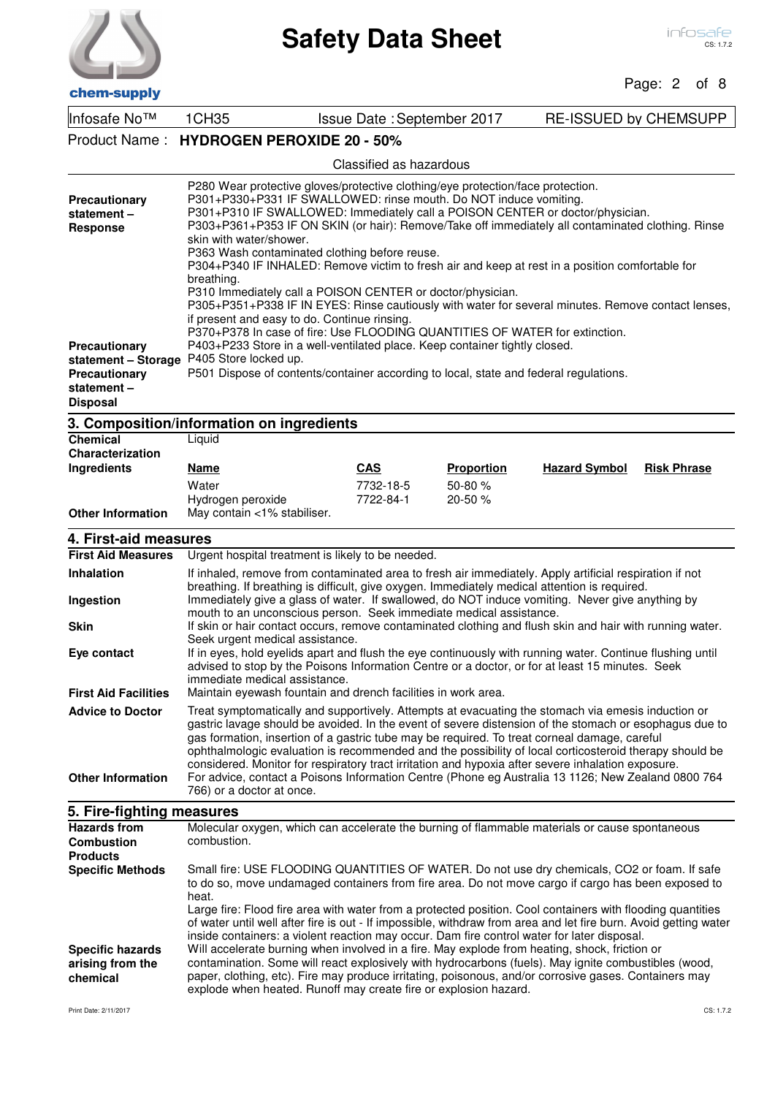

Page: 2 of 8

| Infosafe No™                                                                                  | 1CH35<br>RE-ISSUED by CHEMSUPP<br>Issue Date: September 2017                                                                                                                                                                                                                                                                                                                                                                                                                                                                                                                                                                                                                                                                                                                                                                               |                                                                                                                                                                                                                                                                                                                                                                                   |                                                                                                                                                                                                                                                                                                                                                                                                                                                                                                                                              |  |
|-----------------------------------------------------------------------------------------------|--------------------------------------------------------------------------------------------------------------------------------------------------------------------------------------------------------------------------------------------------------------------------------------------------------------------------------------------------------------------------------------------------------------------------------------------------------------------------------------------------------------------------------------------------------------------------------------------------------------------------------------------------------------------------------------------------------------------------------------------------------------------------------------------------------------------------------------------|-----------------------------------------------------------------------------------------------------------------------------------------------------------------------------------------------------------------------------------------------------------------------------------------------------------------------------------------------------------------------------------|----------------------------------------------------------------------------------------------------------------------------------------------------------------------------------------------------------------------------------------------------------------------------------------------------------------------------------------------------------------------------------------------------------------------------------------------------------------------------------------------------------------------------------------------|--|
| Product Name:                                                                                 | <b>HYDROGEN PEROXIDE 20 - 50%</b>                                                                                                                                                                                                                                                                                                                                                                                                                                                                                                                                                                                                                                                                                                                                                                                                          |                                                                                                                                                                                                                                                                                                                                                                                   |                                                                                                                                                                                                                                                                                                                                                                                                                                                                                                                                              |  |
|                                                                                               |                                                                                                                                                                                                                                                                                                                                                                                                                                                                                                                                                                                                                                                                                                                                                                                                                                            | Classified as hazardous                                                                                                                                                                                                                                                                                                                                                           |                                                                                                                                                                                                                                                                                                                                                                                                                                                                                                                                              |  |
| Precautionary<br>statement-<br><b>Response</b>                                                | P280 Wear protective gloves/protective clothing/eye protection/face protection.<br>P301+P330+P331 IF SWALLOWED: rinse mouth. Do NOT induce vomiting.<br>P301+P310 IF SWALLOWED: Immediately call a POISON CENTER or doctor/physician.<br>P303+P361+P353 IF ON SKIN (or hair): Remove/Take off immediately all contaminated clothing. Rinse<br>skin with water/shower.<br>P363 Wash contaminated clothing before reuse.<br>P304+P340 IF INHALED: Remove victim to fresh air and keep at rest in a position comfortable for<br>breathing.<br>P310 Immediately call a POISON CENTER or doctor/physician.<br>P305+P351+P338 IF IN EYES: Rinse cautiously with water for several minutes. Remove contact lenses,<br>if present and easy to do. Continue rinsing.<br>P370+P378 In case of fire: Use FLOODING QUANTITIES OF WATER for extinction. |                                                                                                                                                                                                                                                                                                                                                                                   |                                                                                                                                                                                                                                                                                                                                                                                                                                                                                                                                              |  |
| Precautionary<br>statement - Storage<br><b>Precautionary</b><br>statement-<br><b>Disposal</b> | P405 Store locked up.                                                                                                                                                                                                                                                                                                                                                                                                                                                                                                                                                                                                                                                                                                                                                                                                                      | P403+P233 Store in a well-ventilated place. Keep container tightly closed.<br>P501 Dispose of contents/container according to local, state and federal regulations.                                                                                                                                                                                                               |                                                                                                                                                                                                                                                                                                                                                                                                                                                                                                                                              |  |
|                                                                                               | 3. Composition/information on ingredients                                                                                                                                                                                                                                                                                                                                                                                                                                                                                                                                                                                                                                                                                                                                                                                                  |                                                                                                                                                                                                                                                                                                                                                                                   |                                                                                                                                                                                                                                                                                                                                                                                                                                                                                                                                              |  |
| <b>Chemical</b><br>Characterization<br>Ingredients                                            | Liquid<br>Name                                                                                                                                                                                                                                                                                                                                                                                                                                                                                                                                                                                                                                                                                                                                                                                                                             | <b>CAS</b><br><b>Proportion</b>                                                                                                                                                                                                                                                                                                                                                   | <b>Hazard Symbol</b><br><b>Risk Phrase</b>                                                                                                                                                                                                                                                                                                                                                                                                                                                                                                   |  |
|                                                                                               | Water                                                                                                                                                                                                                                                                                                                                                                                                                                                                                                                                                                                                                                                                                                                                                                                                                                      | 7732-18-5<br>50-80 %                                                                                                                                                                                                                                                                                                                                                              |                                                                                                                                                                                                                                                                                                                                                                                                                                                                                                                                              |  |
| <b>Other Information</b>                                                                      | Hydrogen peroxide<br>May contain <1% stabiliser.                                                                                                                                                                                                                                                                                                                                                                                                                                                                                                                                                                                                                                                                                                                                                                                           | 7722-84-1<br>$20 - 50 \%$                                                                                                                                                                                                                                                                                                                                                         |                                                                                                                                                                                                                                                                                                                                                                                                                                                                                                                                              |  |
| 4. First-aid measures                                                                         |                                                                                                                                                                                                                                                                                                                                                                                                                                                                                                                                                                                                                                                                                                                                                                                                                                            |                                                                                                                                                                                                                                                                                                                                                                                   |                                                                                                                                                                                                                                                                                                                                                                                                                                                                                                                                              |  |
| <b>First Aid Measures</b>                                                                     |                                                                                                                                                                                                                                                                                                                                                                                                                                                                                                                                                                                                                                                                                                                                                                                                                                            | Urgent hospital treatment is likely to be needed.                                                                                                                                                                                                                                                                                                                                 |                                                                                                                                                                                                                                                                                                                                                                                                                                                                                                                                              |  |
| <b>Inhalation</b><br>Ingestion                                                                |                                                                                                                                                                                                                                                                                                                                                                                                                                                                                                                                                                                                                                                                                                                                                                                                                                            | If inhaled, remove from contaminated area to fresh air immediately. Apply artificial respiration if not<br>breathing. If breathing is difficult, give oxygen. Immediately medical attention is required.<br>Immediately give a glass of water. If swallowed, do NOT induce vomiting. Never give anything by<br>mouth to an unconscious person. Seek immediate medical assistance. |                                                                                                                                                                                                                                                                                                                                                                                                                                                                                                                                              |  |
| <b>Skin</b><br>Eye contact                                                                    | Seek urgent medical assistance.                                                                                                                                                                                                                                                                                                                                                                                                                                                                                                                                                                                                                                                                                                                                                                                                            |                                                                                                                                                                                                                                                                                                                                                                                   | If skin or hair contact occurs, remove contaminated clothing and flush skin and hair with running water.<br>If in eyes, hold eyelids apart and flush the eye continuously with running water. Continue flushing until                                                                                                                                                                                                                                                                                                                        |  |
| <b>First Aid Facilities</b>                                                                   | advised to stop by the Poisons Information Centre or a doctor, or for at least 15 minutes. Seek<br>immediate medical assistance.<br>Maintain eyewash fountain and drench facilities in work area.                                                                                                                                                                                                                                                                                                                                                                                                                                                                                                                                                                                                                                          |                                                                                                                                                                                                                                                                                                                                                                                   |                                                                                                                                                                                                                                                                                                                                                                                                                                                                                                                                              |  |
| <b>Advice to Doctor</b>                                                                       |                                                                                                                                                                                                                                                                                                                                                                                                                                                                                                                                                                                                                                                                                                                                                                                                                                            | Treat symptomatically and supportively. Attempts at evacuating the stomach via emesis induction or                                                                                                                                                                                                                                                                                |                                                                                                                                                                                                                                                                                                                                                                                                                                                                                                                                              |  |
| <b>Other Information</b>                                                                      | gastric lavage should be avoided. In the event of severe distension of the stomach or esophagus due to<br>gas formation, insertion of a gastric tube may be required. To treat corneal damage, careful<br>ophthalmologic evaluation is recommended and the possibility of local corticosteroid therapy should be<br>considered. Monitor for respiratory tract irritation and hypoxia after severe inhalation exposure.<br>For advice, contact a Poisons Information Centre (Phone eg Australia 13 1126; New Zealand 0800 764<br>766) or a doctor at once.                                                                                                                                                                                                                                                                                  |                                                                                                                                                                                                                                                                                                                                                                                   |                                                                                                                                                                                                                                                                                                                                                                                                                                                                                                                                              |  |
| 5. Fire-fighting measures                                                                     |                                                                                                                                                                                                                                                                                                                                                                                                                                                                                                                                                                                                                                                                                                                                                                                                                                            |                                                                                                                                                                                                                                                                                                                                                                                   |                                                                                                                                                                                                                                                                                                                                                                                                                                                                                                                                              |  |
| <b>Hazards from</b><br><b>Combustion</b><br><b>Products</b>                                   | combustion.                                                                                                                                                                                                                                                                                                                                                                                                                                                                                                                                                                                                                                                                                                                                                                                                                                | Molecular oxygen, which can accelerate the burning of flammable materials or cause spontaneous                                                                                                                                                                                                                                                                                    |                                                                                                                                                                                                                                                                                                                                                                                                                                                                                                                                              |  |
| <b>Specific Methods</b><br><b>Specific hazards</b><br>arising from the<br>chemical            | heat.                                                                                                                                                                                                                                                                                                                                                                                                                                                                                                                                                                                                                                                                                                                                                                                                                                      | inside containers: a violent reaction may occur. Dam fire control water for later disposal.<br>Will accelerate burning when involved in a fire. May explode from heating, shock, friction or<br>paper, clothing, etc). Fire may produce irritating, poisonous, and/or corrosive gases. Containers may                                                                             | Small fire: USE FLOODING QUANTITIES OF WATER. Do not use dry chemicals, CO2 or foam. If safe<br>to do so, move undamaged containers from fire area. Do not move cargo if cargo has been exposed to<br>Large fire: Flood fire area with water from a protected position. Cool containers with flooding quantities<br>of water until well after fire is out - If impossible, withdraw from area and let fire burn. Avoid getting water<br>contamination. Some will react explosively with hydrocarbons (fuels). May ignite combustibles (wood, |  |

explode when heated. Runoff may create fire or explosion hazard.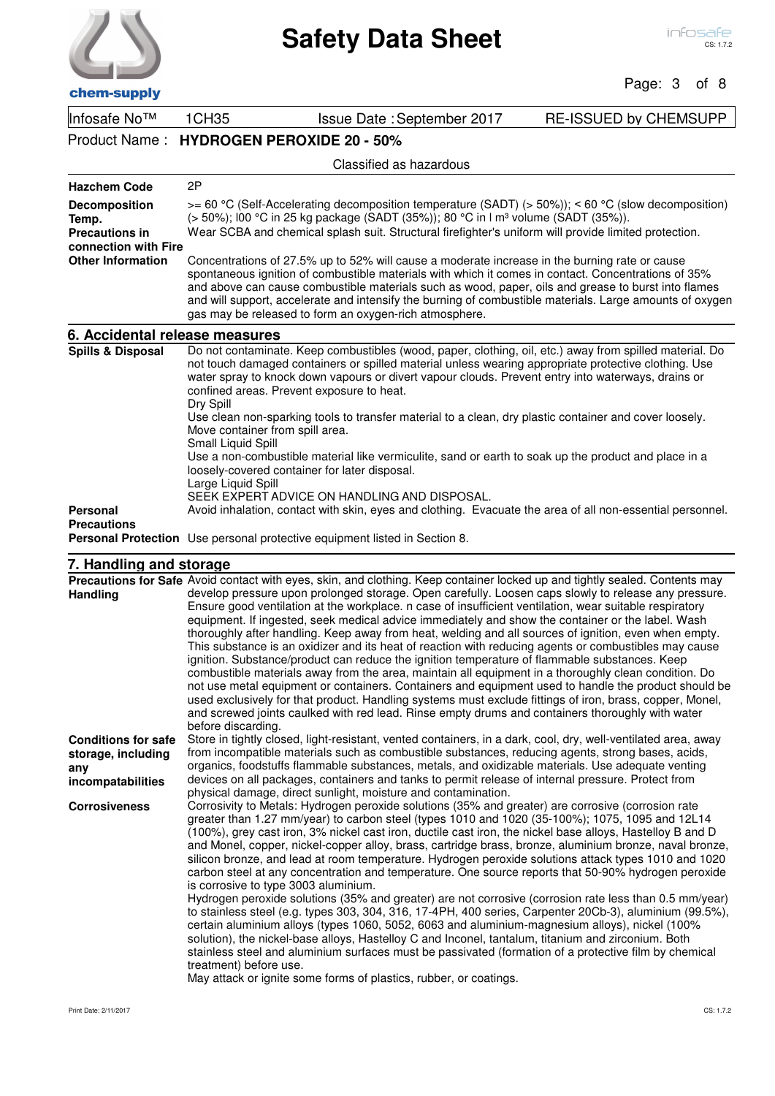| chem-supply |  |
|-------------|--|

Page: 3 of 8

| Infosafe No™                                                            | 1CH35                                                                                                                                                                                                                                                                                                                                                                                                                                                                             | Issue Date: September 2017                                                                                | <b>RE-ISSUED by CHEMSUPP</b> |  |  |  |
|-------------------------------------------------------------------------|-----------------------------------------------------------------------------------------------------------------------------------------------------------------------------------------------------------------------------------------------------------------------------------------------------------------------------------------------------------------------------------------------------------------------------------------------------------------------------------|-----------------------------------------------------------------------------------------------------------|------------------------------|--|--|--|
| Product Name:                                                           | <b>HYDROGEN PEROXIDE 20 - 50%</b>                                                                                                                                                                                                                                                                                                                                                                                                                                                 |                                                                                                           |                              |  |  |  |
|                                                                         |                                                                                                                                                                                                                                                                                                                                                                                                                                                                                   | Classified as hazardous                                                                                   |                              |  |  |  |
| <b>Hazchem Code</b>                                                     | 2P                                                                                                                                                                                                                                                                                                                                                                                                                                                                                |                                                                                                           |                              |  |  |  |
| Decomposition<br>Temp.<br><b>Precautions in</b><br>connection with Fire | $>= 60$ °C (Self-Accelerating decomposition temperature (SADT) ( $> 50\%$ )); < 60 °C (slow decomposition)<br>(> 50%); I00 °C in 25 kg package (SADT (35%)); 80 °C in I m <sup>3</sup> volume (SADT (35%)).<br>Wear SCBA and chemical splash suit. Structural firefighter's uniform will provide limited protection.                                                                                                                                                              |                                                                                                           |                              |  |  |  |
| <b>Other Information</b>                                                | Concentrations of 27.5% up to 52% will cause a moderate increase in the burning rate or cause<br>spontaneous ignition of combustible materials with which it comes in contact. Concentrations of 35%<br>and above can cause combustible materials such as wood, paper, oils and grease to burst into flames<br>and will support, accelerate and intensify the burning of combustible materials. Large amounts of oxygen<br>gas may be released to form an oxygen-rich atmosphere. |                                                                                                           |                              |  |  |  |
| 6. Accidental release measures                                          |                                                                                                                                                                                                                                                                                                                                                                                                                                                                                   |                                                                                                           |                              |  |  |  |
| <b>Spills &amp; Disposal</b>                                            | Do not contaminate. Keep combustibles (wood, paper, clothing, oil, etc.) away from spilled material. Do<br>not touch damaged containers or spilled material unless wearing appropriate protective clothing. Use<br>water spray to knock down vapours or divert vapour clouds. Prevent entry into waterways, drains or<br>confined areas. Prevent exposure to heat.<br>Dry Spill                                                                                                   |                                                                                                           |                              |  |  |  |
|                                                                         | Move container from spill area.<br>Small Liquid Spill                                                                                                                                                                                                                                                                                                                                                                                                                             | Use clean non-sparking tools to transfer material to a clean, dry plastic container and cover loosely.    |                              |  |  |  |
|                                                                         | Use a non-combustible material like vermiculite, sand or earth to soak up the product and place in a<br>loosely-covered container for later disposal.<br>Large Liquid Spill                                                                                                                                                                                                                                                                                                       |                                                                                                           |                              |  |  |  |
|                                                                         |                                                                                                                                                                                                                                                                                                                                                                                                                                                                                   | SEEK EXPERT ADVICE ON HANDLING AND DISPOSAL.                                                              |                              |  |  |  |
| Personal<br><b>Precautions</b>                                          |                                                                                                                                                                                                                                                                                                                                                                                                                                                                                   | Avoid inhalation, contact with skin, eyes and clothing. Evacuate the area of all non-essential personnel. |                              |  |  |  |
|                                                                         |                                                                                                                                                                                                                                                                                                                                                                                                                                                                                   | <b>Personal Protection</b> Use personal protective equipment listed in Section 8.                         |                              |  |  |  |

## **7. Handling and storage**

| Precautions for Safe Avoid contact with eyes, skin, and clothing. Keep container locked up and tightly sealed. Contents may                                                                                                                                                                                                                                                                                                                                                                                                                                                                                                                                                                                                                                                                                                                                                                                                                                                                                                                                                                                                                                                                                                                                                                                               |
|---------------------------------------------------------------------------------------------------------------------------------------------------------------------------------------------------------------------------------------------------------------------------------------------------------------------------------------------------------------------------------------------------------------------------------------------------------------------------------------------------------------------------------------------------------------------------------------------------------------------------------------------------------------------------------------------------------------------------------------------------------------------------------------------------------------------------------------------------------------------------------------------------------------------------------------------------------------------------------------------------------------------------------------------------------------------------------------------------------------------------------------------------------------------------------------------------------------------------------------------------------------------------------------------------------------------------|
| develop pressure upon prolonged storage. Open carefully. Loosen caps slowly to release any pressure.<br>Ensure good ventilation at the workplace. n case of insufficient ventilation, wear suitable respiratory<br>equipment. If ingested, seek medical advice immediately and show the container or the label. Wash<br>thoroughly after handling. Keep away from heat, welding and all sources of ignition, even when empty.<br>This substance is an oxidizer and its heat of reaction with reducing agents or combustibles may cause<br>ignition. Substance/product can reduce the ignition temperature of flammable substances. Keep<br>combustible materials away from the area, maintain all equipment in a thoroughly clean condition. Do<br>not use metal equipment or containers. Containers and equipment used to handle the product should be                                                                                                                                                                                                                                                                                                                                                                                                                                                                   |
| used exclusively for that product. Handling systems must exclude fittings of iron, brass, copper, Monel,<br>and screwed joints caulked with red lead. Rinse empty drums and containers thoroughly with water<br>before discarding.                                                                                                                                                                                                                                                                                                                                                                                                                                                                                                                                                                                                                                                                                                                                                                                                                                                                                                                                                                                                                                                                                        |
| Store in tightly closed, light-resistant, vented containers, in a dark, cool, dry, well-ventilated area, away<br>from incompatible materials such as combustible substances, reducing agents, strong bases, acids,<br>organics, foodstuffs flammable substances, metals, and oxidizable materials. Use adequate venting<br>devices on all packages, containers and tanks to permit release of internal pressure. Protect from<br>physical damage, direct sunlight, moisture and contamination.                                                                                                                                                                                                                                                                                                                                                                                                                                                                                                                                                                                                                                                                                                                                                                                                                            |
| Corrosivity to Metals: Hydrogen peroxide solutions (35% and greater) are corrosive (corrosion rate<br>greater than 1.27 mm/year) to carbon steel (types 1010 and 1020 (35-100%); 1075, 1095 and 12L14<br>(100%), grey cast iron, 3% nickel cast iron, ductile cast iron, the nickel base alloys, Hastelloy B and D<br>and Monel, copper, nickel-copper alloy, brass, cartridge brass, bronze, aluminium bronze, naval bronze,<br>silicon bronze, and lead at room temperature. Hydrogen peroxide solutions attack types 1010 and 1020<br>carbon steel at any concentration and temperature. One source reports that 50-90% hydrogen peroxide<br>is corrosive to type 3003 aluminium.<br>Hydrogen peroxide solutions (35% and greater) are not corrosive (corrosion rate less than 0.5 mm/year)<br>to stainless steel (e.g. types 303, 304, 316, 17-4PH, 400 series, Carpenter 20Cb-3), aluminium (99.5%),<br>certain aluminium alloys (types 1060, 5052, 6063 and aluminium-magnesium alloys), nickel (100%<br>solution), the nickel-base alloys, Hastelloy C and Inconel, tantalum, titanium and zirconium. Both<br>stainless steel and aluminium surfaces must be passivated (formation of a protective film by chemical<br>treatment) before use.<br>May attack or ignite some forms of plastics, rubber, or coatings. |
|                                                                                                                                                                                                                                                                                                                                                                                                                                                                                                                                                                                                                                                                                                                                                                                                                                                                                                                                                                                                                                                                                                                                                                                                                                                                                                                           |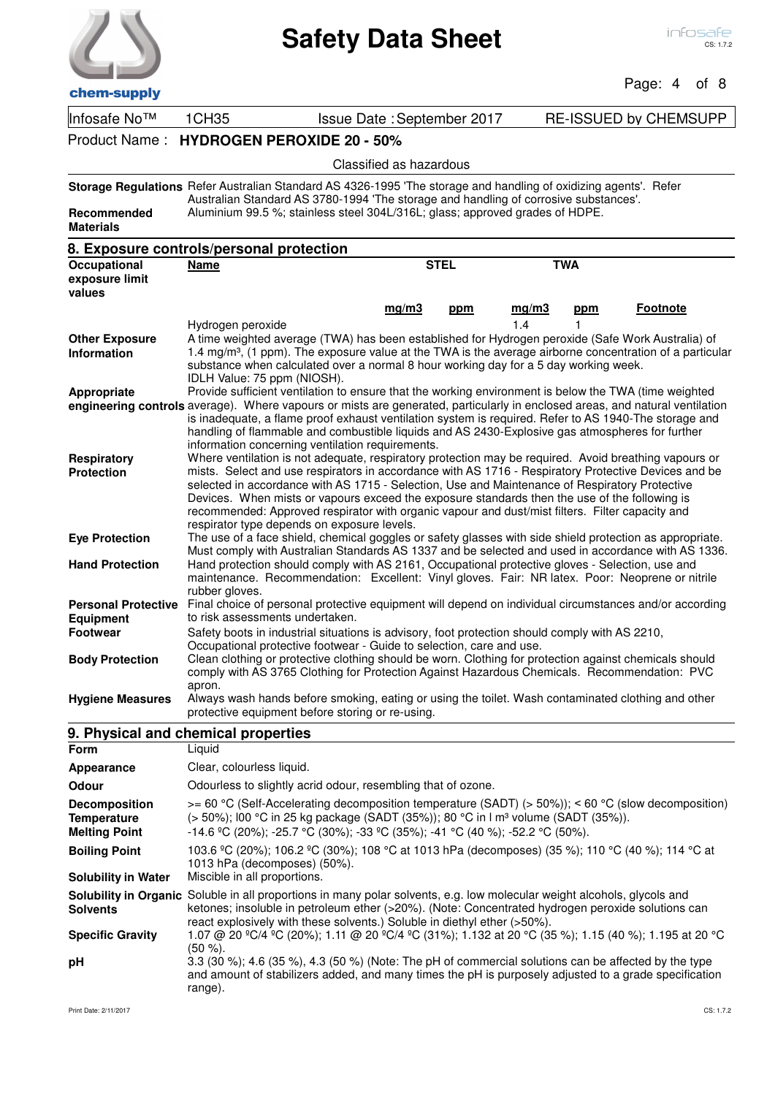| chem-supply                                                       | <b>Safety Data Sheet</b>                                                                                                                                                                                                                                                                                                                                                                                                                                                                                                                                                                                                                                                                         |                     |                              | Page: 4         | infosafe<br>CS: 1.7.2<br>of 8 |
|-------------------------------------------------------------------|--------------------------------------------------------------------------------------------------------------------------------------------------------------------------------------------------------------------------------------------------------------------------------------------------------------------------------------------------------------------------------------------------------------------------------------------------------------------------------------------------------------------------------------------------------------------------------------------------------------------------------------------------------------------------------------------------|---------------------|------------------------------|-----------------|-------------------------------|
| Infosafe No™                                                      | 1CH35<br>Issue Date: September 2017                                                                                                                                                                                                                                                                                                                                                                                                                                                                                                                                                                                                                                                              |                     | <b>RE-ISSUED by CHEMSUPP</b> |                 |                               |
|                                                                   | Product Name: HYDROGEN PEROXIDE 20 - 50%                                                                                                                                                                                                                                                                                                                                                                                                                                                                                                                                                                                                                                                         |                     |                              |                 |                               |
|                                                                   | Classified as hazardous                                                                                                                                                                                                                                                                                                                                                                                                                                                                                                                                                                                                                                                                          |                     |                              |                 |                               |
| Recommended<br><b>Materials</b>                                   | Storage Regulations Refer Australian Standard AS 4326-1995 'The storage and handling of oxidizing agents'. Refer<br>Australian Standard AS 3780-1994 'The storage and handling of corrosive substances'.<br>Aluminium 99.5 %; stainless steel 304L/316L; glass; approved grades of HDPE.                                                                                                                                                                                                                                                                                                                                                                                                         |                     |                              |                 |                               |
|                                                                   | 8. Exposure controls/personal protection                                                                                                                                                                                                                                                                                                                                                                                                                                                                                                                                                                                                                                                         |                     |                              |                 |                               |
| Occupational<br>exposure limit<br>values                          | Name                                                                                                                                                                                                                                                                                                                                                                                                                                                                                                                                                                                                                                                                                             | <b>STEL</b>         | <b>TWA</b>                   |                 |                               |
| <b>Other Exposure</b>                                             | mq/m3<br>Hydrogen peroxide<br>A time weighted average (TWA) has been established for Hydrogen peroxide (Safe Work Australia) of                                                                                                                                                                                                                                                                                                                                                                                                                                                                                                                                                                  | mq/m3<br>ppm<br>1.4 | <u>ppm</u>                   | <b>Footnote</b> |                               |
| <b>Information</b><br>Appropriate                                 | 1.4 mg/m <sup>3</sup> , (1 ppm). The exposure value at the TWA is the average airborne concentration of a particular<br>substance when calculated over a normal 8 hour working day for a 5 day working week.<br>IDLH Value: 75 ppm (NIOSH).<br>Provide sufficient ventilation to ensure that the working environment is below the TWA (time weighted<br>engineering controls average). Where vapours or mists are generated, particularly in enclosed areas, and natural ventilation<br>is inadequate, a flame proof exhaust ventilation system is required. Refer to AS 1940-The storage and<br>handling of flammable and combustible liquids and AS 2430-Explosive gas atmospheres for further |                     |                              |                 |                               |
| Respiratory<br><b>Protection</b>                                  | information concerning ventilation requirements.<br>Where ventilation is not adequate, respiratory protection may be required. Avoid breathing vapours or<br>mists. Select and use respirators in accordance with AS 1716 - Respiratory Protective Devices and be<br>selected in accordance with AS 1715 - Selection, Use and Maintenance of Respiratory Protective<br>Devices. When mists or vapours exceed the exposure standards then the use of the following is<br>recommended: Approved respirator with organic vapour and dust/mist filters. Filter capacity and<br>respirator type depends on exposure levels.                                                                           |                     |                              |                 |                               |
| <b>Eye Protection</b>                                             | The use of a face shield, chemical goggles or safety glasses with side shield protection as appropriate.<br>Must comply with Australian Standards AS 1337 and be selected and used in accordance with AS 1336.                                                                                                                                                                                                                                                                                                                                                                                                                                                                                   |                     |                              |                 |                               |
| <b>Hand Protection</b>                                            | Hand protection should comply with AS 2161, Occupational protective gloves - Selection, use and<br>maintenance. Recommendation: Excellent: Vinyl gloves. Fair: NR latex. Poor: Neoprene or nitrile                                                                                                                                                                                                                                                                                                                                                                                                                                                                                               |                     |                              |                 |                               |
| <b>Personal Protective</b><br><b>Equipment</b><br><b>Footwear</b> | rubber gloves.<br>Final choice of personal protective equipment will depend on individual circumstances and/or according<br>to risk assessments undertaken.                                                                                                                                                                                                                                                                                                                                                                                                                                                                                                                                      |                     |                              |                 |                               |
| <b>Body Protection</b>                                            | Safety boots in industrial situations is advisory, foot protection should comply with AS 2210,<br>Occupational protective footwear - Guide to selection, care and use.<br>Clean clothing or protective clothing should be worn. Clothing for protection against chemicals should<br>comply with AS 3765 Clothing for Protection Against Hazardous Chemicals. Recommendation: PVC<br>apron.                                                                                                                                                                                                                                                                                                       |                     |                              |                 |                               |
| <b>Hygiene Measures</b>                                           | Always wash hands before smoking, eating or using the toilet. Wash contaminated clothing and other<br>protective equipment before storing or re-using.                                                                                                                                                                                                                                                                                                                                                                                                                                                                                                                                           |                     |                              |                 |                               |
|                                                                   | 9. Physical and chemical properties                                                                                                                                                                                                                                                                                                                                                                                                                                                                                                                                                                                                                                                              |                     |                              |                 |                               |
| Form                                                              | Liquid                                                                                                                                                                                                                                                                                                                                                                                                                                                                                                                                                                                                                                                                                           |                     |                              |                 |                               |
| <b>Appearance</b>                                                 | Clear, colourless liquid.                                                                                                                                                                                                                                                                                                                                                                                                                                                                                                                                                                                                                                                                        |                     |                              |                 |                               |
| Odour                                                             | Odourless to slightly acrid odour, resembling that of ozone.                                                                                                                                                                                                                                                                                                                                                                                                                                                                                                                                                                                                                                     |                     |                              |                 |                               |
|                                                                   |                                                                                                                                                                                                                                                                                                                                                                                                                                                                                                                                                                                                                                                                                                  |                     |                              |                 |                               |

| <b>Decomposition</b><br><b>Temperature</b><br><b>Melting Point</b> | $>= 60$ °C (Self-Accelerating decomposition temperature (SADT) ( $> 50\%$ )); < 60 °C (slow decomposition)<br>(> 50%); l00 °C in 25 kg package (SADT (35%)); 80 °C in I m <sup>3</sup> volume (SADT (35%)).<br>$-14.6$ °C (20%); $-25.7$ °C (30%); $-33$ °C (35%); $-41$ °C (40 %); $-52.2$ °C (50%).            |
|--------------------------------------------------------------------|------------------------------------------------------------------------------------------------------------------------------------------------------------------------------------------------------------------------------------------------------------------------------------------------------------------|
| <b>Boiling Point</b>                                               | 103.6 °C (20%); 106.2 °C (30%); 108 °C at 1013 hPa (decomposes) (35 %); 110 °C (40 %); 114 °C at<br>1013 hPa (decomposes) (50%).                                                                                                                                                                                 |
| <b>Solubility in Water</b>                                         | Miscible in all proportions.                                                                                                                                                                                                                                                                                     |
| <b>Solvents</b>                                                    | <b>Solubility in Organic</b> Soluble in all proportions in many polar solvents, e.g. low molecular weight alcohols, glycols and<br>ketones; insoluble in petroleum ether (>20%). (Note: Concentrated hydrogen peroxide solutions can<br>react explosively with these solvents.) Soluble in diethyl ether (>50%). |
| <b>Specific Gravity</b>                                            | 1.07 @ 20 ºC/4 ºC (20%); 1.11 @ 20 ºC/4 ºC (31%); 1.132 at 20 °C (35 %); 1.15 (40 %); 1.195 at 20 °C<br>$(50 \%)$ .                                                                                                                                                                                              |
| pH                                                                 | 3.3 (30 %); 4.6 (35 %), 4.3 (50 %) (Note: The pH of commercial solutions can be affected by the type<br>and amount of stabilizers added, and many times the pH is purposely adjusted to a grade specification<br>range).                                                                                         |

l.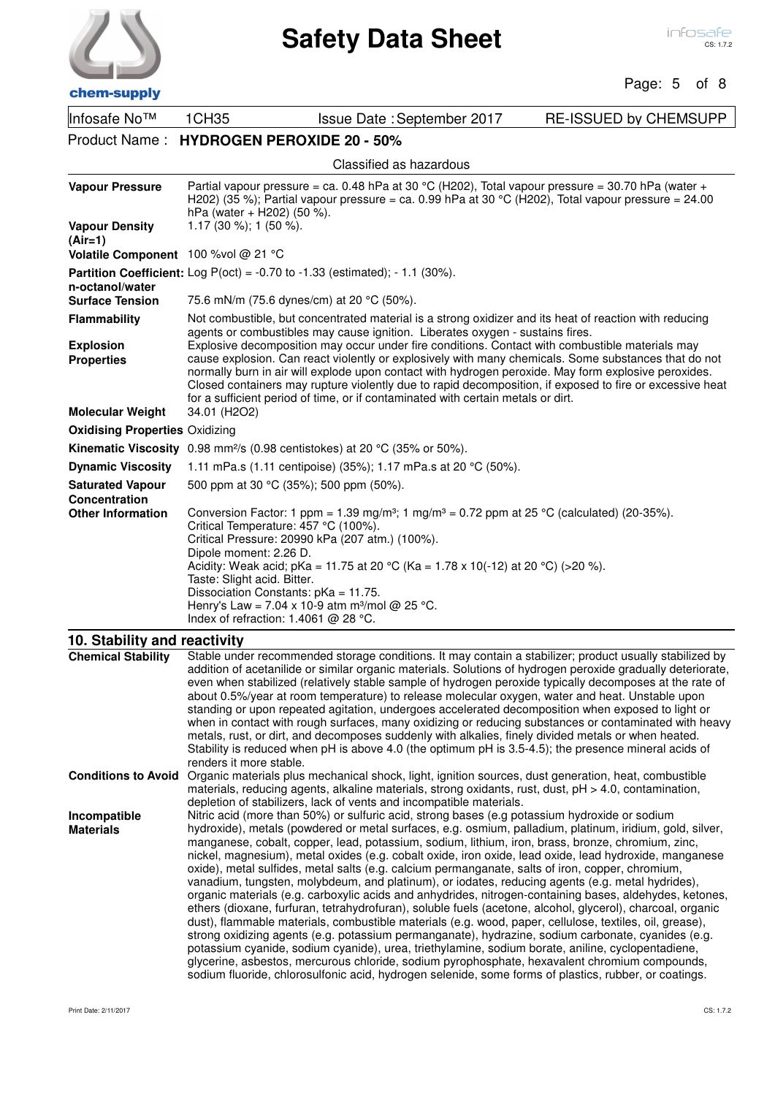

### Page: 5 of 8

| спенгэчрргу                                      |                                                                                                                                                                               |                                                                                                                                                                                                                                                                                                                                                                                                                                                                                                                                                                                                                                                                                                                                                                                                                                                                                                                                                                                                                                                                                                                                                                                                                                                                                                                                                                                           |                              |  |  |
|--------------------------------------------------|-------------------------------------------------------------------------------------------------------------------------------------------------------------------------------|-------------------------------------------------------------------------------------------------------------------------------------------------------------------------------------------------------------------------------------------------------------------------------------------------------------------------------------------------------------------------------------------------------------------------------------------------------------------------------------------------------------------------------------------------------------------------------------------------------------------------------------------------------------------------------------------------------------------------------------------------------------------------------------------------------------------------------------------------------------------------------------------------------------------------------------------------------------------------------------------------------------------------------------------------------------------------------------------------------------------------------------------------------------------------------------------------------------------------------------------------------------------------------------------------------------------------------------------------------------------------------------------|------------------------------|--|--|
| Infosafe No™                                     | 1CH35                                                                                                                                                                         | Issue Date: September 2017                                                                                                                                                                                                                                                                                                                                                                                                                                                                                                                                                                                                                                                                                                                                                                                                                                                                                                                                                                                                                                                                                                                                                                                                                                                                                                                                                                | <b>RE-ISSUED by CHEMSUPP</b> |  |  |
|                                                  | Product Name: HYDROGEN PEROXIDE 20 - 50%                                                                                                                                      |                                                                                                                                                                                                                                                                                                                                                                                                                                                                                                                                                                                                                                                                                                                                                                                                                                                                                                                                                                                                                                                                                                                                                                                                                                                                                                                                                                                           |                              |  |  |
|                                                  |                                                                                                                                                                               | Classified as hazardous                                                                                                                                                                                                                                                                                                                                                                                                                                                                                                                                                                                                                                                                                                                                                                                                                                                                                                                                                                                                                                                                                                                                                                                                                                                                                                                                                                   |                              |  |  |
| <b>Vapour Pressure</b>                           | hPa (water + H202) (50 %).                                                                                                                                                    | Partial vapour pressure = ca. 0.48 hPa at 30 °C (H202), Total vapour pressure = 30.70 hPa (water +<br>H202) (35 %); Partial vapour pressure = ca. 0.99 hPa at 30 °C (H202), Total vapour pressure = $24.00$                                                                                                                                                                                                                                                                                                                                                                                                                                                                                                                                                                                                                                                                                                                                                                                                                                                                                                                                                                                                                                                                                                                                                                               |                              |  |  |
| <b>Vapour Density</b><br>$(Air=1)$               | 1.17 (30 %); 1 (50 %).                                                                                                                                                        |                                                                                                                                                                                                                                                                                                                                                                                                                                                                                                                                                                                                                                                                                                                                                                                                                                                                                                                                                                                                                                                                                                                                                                                                                                                                                                                                                                                           |                              |  |  |
| Volatile Component 100 % vol @ 21 °C             |                                                                                                                                                                               |                                                                                                                                                                                                                                                                                                                                                                                                                                                                                                                                                                                                                                                                                                                                                                                                                                                                                                                                                                                                                                                                                                                                                                                                                                                                                                                                                                                           |                              |  |  |
| n-octanol/water                                  |                                                                                                                                                                               | <b>Partition Coefficient:</b> Log $P(oct) = -0.70$ to $-1.33$ (estimated); $-1.1$ (30%).                                                                                                                                                                                                                                                                                                                                                                                                                                                                                                                                                                                                                                                                                                                                                                                                                                                                                                                                                                                                                                                                                                                                                                                                                                                                                                  |                              |  |  |
| <b>Surface Tension</b>                           | 75.6 mN/m (75.6 dynes/cm) at 20 °C (50%).                                                                                                                                     | Not combustible, but concentrated material is a strong oxidizer and its heat of reaction with reducing                                                                                                                                                                                                                                                                                                                                                                                                                                                                                                                                                                                                                                                                                                                                                                                                                                                                                                                                                                                                                                                                                                                                                                                                                                                                                    |                              |  |  |
| <b>Flammability</b><br><b>Explosion</b>          |                                                                                                                                                                               | agents or combustibles may cause ignition. Liberates oxygen - sustains fires.<br>Explosive decomposition may occur under fire conditions. Contact with combustible materials may                                                                                                                                                                                                                                                                                                                                                                                                                                                                                                                                                                                                                                                                                                                                                                                                                                                                                                                                                                                                                                                                                                                                                                                                          |                              |  |  |
| <b>Properties</b>                                |                                                                                                                                                                               | cause explosion. Can react violently or explosively with many chemicals. Some substances that do not<br>normally burn in air will explode upon contact with hydrogen peroxide. May form explosive peroxides.<br>Closed containers may rupture violently due to rapid decomposition, if exposed to fire or excessive heat<br>for a sufficient period of time, or if contaminated with certain metals or dirt.                                                                                                                                                                                                                                                                                                                                                                                                                                                                                                                                                                                                                                                                                                                                                                                                                                                                                                                                                                              |                              |  |  |
| <b>Molecular Weight</b>                          | 34.01 (H2O2)                                                                                                                                                                  |                                                                                                                                                                                                                                                                                                                                                                                                                                                                                                                                                                                                                                                                                                                                                                                                                                                                                                                                                                                                                                                                                                                                                                                                                                                                                                                                                                                           |                              |  |  |
| <b>Oxidising Properties Oxidizing</b>            |                                                                                                                                                                               | <b>Kinematic Viscosity</b> 0.98 mm <sup>2</sup> /s (0.98 centistokes) at 20 °C (35% or 50%).                                                                                                                                                                                                                                                                                                                                                                                                                                                                                                                                                                                                                                                                                                                                                                                                                                                                                                                                                                                                                                                                                                                                                                                                                                                                                              |                              |  |  |
| <b>Dynamic Viscosity</b>                         |                                                                                                                                                                               | 1.11 mPa.s (1.11 centipoise) (35%); 1.17 mPa.s at 20 °C (50%).                                                                                                                                                                                                                                                                                                                                                                                                                                                                                                                                                                                                                                                                                                                                                                                                                                                                                                                                                                                                                                                                                                                                                                                                                                                                                                                            |                              |  |  |
| <b>Saturated Vapour</b>                          | 500 ppm at 30 °C (35%); 500 ppm (50%).                                                                                                                                        |                                                                                                                                                                                                                                                                                                                                                                                                                                                                                                                                                                                                                                                                                                                                                                                                                                                                                                                                                                                                                                                                                                                                                                                                                                                                                                                                                                                           |                              |  |  |
| <b>Concentration</b><br><b>Other Information</b> | Critical Temperature: 457 °C (100%).<br>Dipole moment: 2.26 D.<br>Taste: Slight acid. Bitter.<br>Dissociation Constants: pKa = 11.75.<br>Index of refraction: 1.4061 @ 28 °C. | Conversion Factor: 1 ppm = 1.39 mg/m <sup>3</sup> ; 1 mg/m <sup>3</sup> = 0.72 ppm at 25 °C (calculated) (20-35%).<br>Critical Pressure: 20990 kPa (207 atm.) (100%).<br>Acidity: Weak acid; pKa = 11.75 at 20 °C (Ka = 1.78 x 10(-12) at 20 °C) (>20 %).<br>Henry's Law = 7.04 x 10-9 atm m <sup>3</sup> /mol @ 25 °C.                                                                                                                                                                                                                                                                                                                                                                                                                                                                                                                                                                                                                                                                                                                                                                                                                                                                                                                                                                                                                                                                   |                              |  |  |
| 10. Stability and reactivity                     |                                                                                                                                                                               |                                                                                                                                                                                                                                                                                                                                                                                                                                                                                                                                                                                                                                                                                                                                                                                                                                                                                                                                                                                                                                                                                                                                                                                                                                                                                                                                                                                           |                              |  |  |
| <b>Chemical Stability</b>                        | renders it more stable.                                                                                                                                                       | Stable under recommended storage conditions. It may contain a stabilizer; product usually stabilized by<br>addition of acetanilide or similar organic materials. Solutions of hydrogen peroxide gradually deteriorate,<br>even when stabilized (relatively stable sample of hydrogen peroxide typically decomposes at the rate of<br>about 0.5%/year at room temperature) to release molecular oxygen, water and heat. Unstable upon<br>standing or upon repeated agitation, undergoes accelerated decomposition when exposed to light or<br>when in contact with rough surfaces, many oxidizing or reducing substances or contaminated with heavy<br>metals, rust, or dirt, and decomposes suddenly with alkalies, finely divided metals or when heated.<br>Stability is reduced when pH is above 4.0 (the optimum pH is 3.5-4.5); the presence mineral acids of                                                                                                                                                                                                                                                                                                                                                                                                                                                                                                                         |                              |  |  |
| <b>Conditions to Avoid</b>                       |                                                                                                                                                                               | Organic materials plus mechanical shock, light, ignition sources, dust generation, heat, combustible<br>materials, reducing agents, alkaline materials, strong oxidants, rust, dust, pH > 4.0, contamination,<br>depletion of stabilizers, lack of vents and incompatible materials.                                                                                                                                                                                                                                                                                                                                                                                                                                                                                                                                                                                                                                                                                                                                                                                                                                                                                                                                                                                                                                                                                                      |                              |  |  |
| Incompatible<br><b>Materials</b>                 |                                                                                                                                                                               | Nitric acid (more than 50%) or sulfuric acid, strong bases (e.g potassium hydroxide or sodium<br>hydroxide), metals (powdered or metal surfaces, e.g. osmium, palladium, platinum, iridium, gold, silver,<br>manganese, cobalt, copper, lead, potassium, sodium, lithium, iron, brass, bronze, chromium, zinc,<br>nickel, magnesium), metal oxides (e.g. cobalt oxide, iron oxide, lead oxide, lead hydroxide, manganese<br>oxide), metal sulfides, metal salts (e.g. calcium permanganate, salts of iron, copper, chromium,<br>vanadium, tungsten, molybdeum, and platinum), or iodates, reducing agents (e.g. metal hydrides),<br>organic materials (e.g. carboxylic acids and anhydrides, nitrogen-containing bases, aldehydes, ketones,<br>ethers (dioxane, furfuran, tetrahydrofuran), soluble fuels (acetone, alcohol, glycerol), charcoal, organic<br>dust), flammable materials, combustible materials (e.g. wood, paper, cellulose, textiles, oil, grease),<br>strong oxidizing agents (e.g. potassium permanganate), hydrazine, sodium carbonate, cyanides (e.g.<br>potassium cyanide, sodium cyanide), urea, triethylamine, sodium borate, aniline, cyclopentadiene,<br>glycerine, asbestos, mercurous chloride, sodium pyrophosphate, hexavalent chromium compounds,<br>sodium fluoride, chlorosulfonic acid, hydrogen selenide, some forms of plastics, rubber, or coatings. |                              |  |  |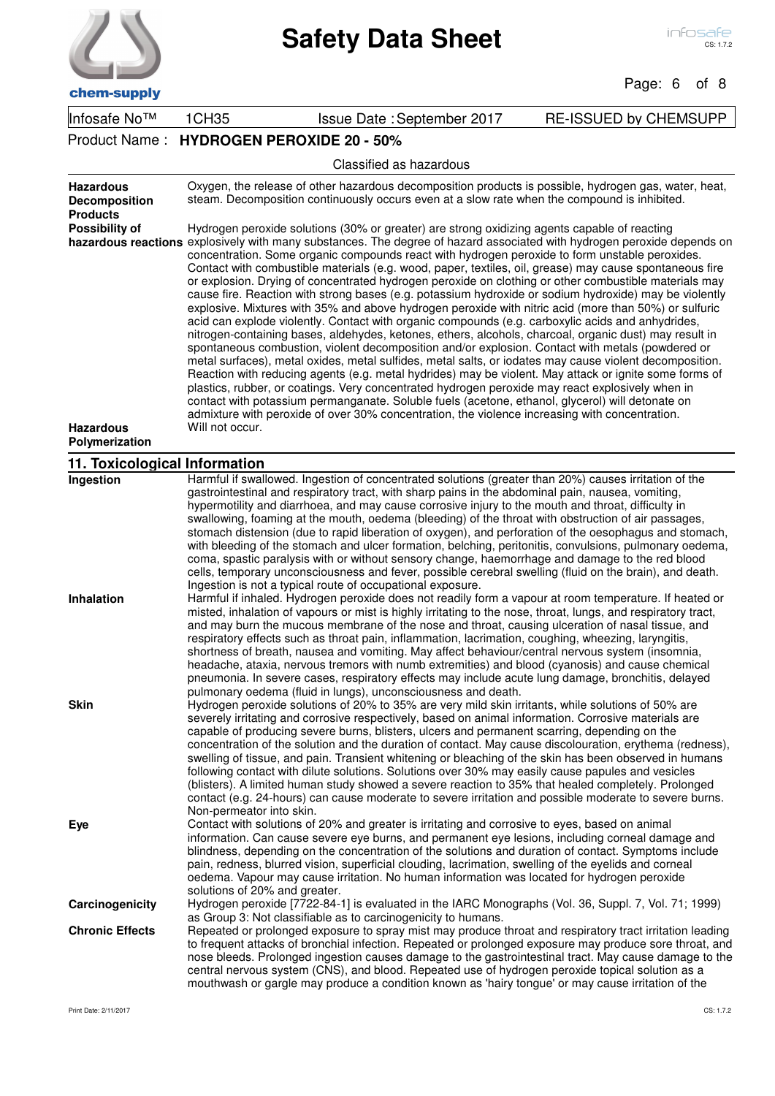| chem-supply |  |
|-------------|--|

Page: 6 of 8

| <b>CHEHI-SUPPIY</b>                                         |                                                                                                                                                                                                                                                                                                                                                                                                                                                                                                                                                                                                                                                                                                                                                                                                                                                                                                                                                                                                                                                                                                                                                                                                                                                                                                                                                                                                                                                                                                                                                                                                                    |                                                                                                                                                                                                                                                                                                                                                                                                                                                                                                                                                                                                                                                                                                                                                                                                                                                                                                                                                                                                                                                                                                                                                                                                                                                                                                                                                                                                                                                                    |                              |  |
|-------------------------------------------------------------|--------------------------------------------------------------------------------------------------------------------------------------------------------------------------------------------------------------------------------------------------------------------------------------------------------------------------------------------------------------------------------------------------------------------------------------------------------------------------------------------------------------------------------------------------------------------------------------------------------------------------------------------------------------------------------------------------------------------------------------------------------------------------------------------------------------------------------------------------------------------------------------------------------------------------------------------------------------------------------------------------------------------------------------------------------------------------------------------------------------------------------------------------------------------------------------------------------------------------------------------------------------------------------------------------------------------------------------------------------------------------------------------------------------------------------------------------------------------------------------------------------------------------------------------------------------------------------------------------------------------|--------------------------------------------------------------------------------------------------------------------------------------------------------------------------------------------------------------------------------------------------------------------------------------------------------------------------------------------------------------------------------------------------------------------------------------------------------------------------------------------------------------------------------------------------------------------------------------------------------------------------------------------------------------------------------------------------------------------------------------------------------------------------------------------------------------------------------------------------------------------------------------------------------------------------------------------------------------------------------------------------------------------------------------------------------------------------------------------------------------------------------------------------------------------------------------------------------------------------------------------------------------------------------------------------------------------------------------------------------------------------------------------------------------------------------------------------------------------|------------------------------|--|
| Infosafe No™                                                | 1CH35                                                                                                                                                                                                                                                                                                                                                                                                                                                                                                                                                                                                                                                                                                                                                                                                                                                                                                                                                                                                                                                                                                                                                                                                                                                                                                                                                                                                                                                                                                                                                                                                              | Issue Date: September 2017                                                                                                                                                                                                                                                                                                                                                                                                                                                                                                                                                                                                                                                                                                                                                                                                                                                                                                                                                                                                                                                                                                                                                                                                                                                                                                                                                                                                                                         | <b>RE-ISSUED by CHEMSUPP</b> |  |
|                                                             | Product Name: HYDROGEN PEROXIDE 20 - 50%                                                                                                                                                                                                                                                                                                                                                                                                                                                                                                                                                                                                                                                                                                                                                                                                                                                                                                                                                                                                                                                                                                                                                                                                                                                                                                                                                                                                                                                                                                                                                                           |                                                                                                                                                                                                                                                                                                                                                                                                                                                                                                                                                                                                                                                                                                                                                                                                                                                                                                                                                                                                                                                                                                                                                                                                                                                                                                                                                                                                                                                                    |                              |  |
|                                                             |                                                                                                                                                                                                                                                                                                                                                                                                                                                                                                                                                                                                                                                                                                                                                                                                                                                                                                                                                                                                                                                                                                                                                                                                                                                                                                                                                                                                                                                                                                                                                                                                                    | Classified as hazardous                                                                                                                                                                                                                                                                                                                                                                                                                                                                                                                                                                                                                                                                                                                                                                                                                                                                                                                                                                                                                                                                                                                                                                                                                                                                                                                                                                                                                                            |                              |  |
| <b>Hazardous</b><br><b>Decomposition</b><br><b>Products</b> | Oxygen, the release of other hazardous decomposition products is possible, hydrogen gas, water, heat,<br>steam. Decomposition continuously occurs even at a slow rate when the compound is inhibited.                                                                                                                                                                                                                                                                                                                                                                                                                                                                                                                                                                                                                                                                                                                                                                                                                                                                                                                                                                                                                                                                                                                                                                                                                                                                                                                                                                                                              |                                                                                                                                                                                                                                                                                                                                                                                                                                                                                                                                                                                                                                                                                                                                                                                                                                                                                                                                                                                                                                                                                                                                                                                                                                                                                                                                                                                                                                                                    |                              |  |
| Possibility of<br><b>Hazardous</b>                          | Hydrogen peroxide solutions (30% or greater) are strong oxidizing agents capable of reacting<br>hazardous reactions explosively with many substances. The degree of hazard associated with hydrogen peroxide depends on<br>concentration. Some organic compounds react with hydrogen peroxide to form unstable peroxides.<br>Contact with combustible materials (e.g. wood, paper, textiles, oil, grease) may cause spontaneous fire<br>or explosion. Drying of concentrated hydrogen peroxide on clothing or other combustible materials may<br>cause fire. Reaction with strong bases (e.g. potassium hydroxide or sodium hydroxide) may be violently<br>explosive. Mixtures with 35% and above hydrogen peroxide with nitric acid (more than 50%) or sulfuric<br>acid can explode violently. Contact with organic compounds (e.g. carboxylic acids and anhydrides,<br>nitrogen-containing bases, aldehydes, ketones, ethers, alcohols, charcoal, organic dust) may result in<br>spontaneous combustion, violent decomposition and/or explosion. Contact with metals (powdered or<br>metal surfaces), metal oxides, metal sulfides, metal salts, or iodates may cause violent decomposition.<br>Reaction with reducing agents (e.g. metal hydrides) may be violent. May attack or ignite some forms of<br>plastics, rubber, or coatings. Very concentrated hydrogen peroxide may react explosively when in<br>contact with potassium permanganate. Soluble fuels (acetone, ethanol, glycerol) will detonate on<br>admixture with peroxide of over 30% concentration, the violence increasing with concentration. |                                                                                                                                                                                                                                                                                                                                                                                                                                                                                                                                                                                                                                                                                                                                                                                                                                                                                                                                                                                                                                                                                                                                                                                                                                                                                                                                                                                                                                                                    |                              |  |
| Polymerization                                              |                                                                                                                                                                                                                                                                                                                                                                                                                                                                                                                                                                                                                                                                                                                                                                                                                                                                                                                                                                                                                                                                                                                                                                                                                                                                                                                                                                                                                                                                                                                                                                                                                    |                                                                                                                                                                                                                                                                                                                                                                                                                                                                                                                                                                                                                                                                                                                                                                                                                                                                                                                                                                                                                                                                                                                                                                                                                                                                                                                                                                                                                                                                    |                              |  |
| 11. Toxicological Information                               |                                                                                                                                                                                                                                                                                                                                                                                                                                                                                                                                                                                                                                                                                                                                                                                                                                                                                                                                                                                                                                                                                                                                                                                                                                                                                                                                                                                                                                                                                                                                                                                                                    |                                                                                                                                                                                                                                                                                                                                                                                                                                                                                                                                                                                                                                                                                                                                                                                                                                                                                                                                                                                                                                                                                                                                                                                                                                                                                                                                                                                                                                                                    |                              |  |
| <b>Ingestion</b><br>Inhalation                              |                                                                                                                                                                                                                                                                                                                                                                                                                                                                                                                                                                                                                                                                                                                                                                                                                                                                                                                                                                                                                                                                                                                                                                                                                                                                                                                                                                                                                                                                                                                                                                                                                    | Harmful if swallowed. Ingestion of concentrated solutions (greater than 20%) causes irritation of the<br>gastrointestinal and respiratory tract, with sharp pains in the abdominal pain, nausea, vomiting,<br>hypermotility and diarrhoea, and may cause corrosive injury to the mouth and throat, difficulty in<br>swallowing, foaming at the mouth, oedema (bleeding) of the throat with obstruction of air passages,<br>stomach distension (due to rapid liberation of oxygen), and perforation of the oesophagus and stomach,<br>with bleeding of the stomach and ulcer formation, belching, peritonitis, convulsions, pulmonary oedema,<br>coma, spastic paralysis with or without sensory change, haemorrhage and damage to the red blood<br>cells, temporary unconsciousness and fever, possible cerebral swelling (fluid on the brain), and death.<br>Ingestion is not a typical route of occupational exposure.<br>Harmful if inhaled. Hydrogen peroxide does not readily form a vapour at room temperature. If heated or<br>misted, inhalation of vapours or mist is highly irritating to the nose, throat, lungs, and respiratory tract,<br>and may burn the mucous membrane of the nose and throat, causing ulceration of nasal tissue, and<br>respiratory effects such as throat pain, inflammation, lacrimation, coughing, wheezing, laryngitis,<br>shortness of breath, nausea and vomiting. May affect behaviour/central nervous system (insomnia, |                              |  |
| <b>Skin</b>                                                 |                                                                                                                                                                                                                                                                                                                                                                                                                                                                                                                                                                                                                                                                                                                                                                                                                                                                                                                                                                                                                                                                                                                                                                                                                                                                                                                                                                                                                                                                                                                                                                                                                    | headache, ataxia, nervous tremors with numb extremities) and blood (cyanosis) and cause chemical<br>pneumonia. In severe cases, respiratory effects may include acute lung damage, bronchitis, delayed<br>pulmonary oedema (fluid in lungs), unconsciousness and death.<br>Hydrogen peroxide solutions of 20% to 35% are very mild skin irritants, while solutions of 50% are<br>severely irritating and corrosive respectively, based on animal information. Corrosive materials are<br>capable of producing severe burns, blisters, ulcers and permanent scarring, depending on the<br>concentration of the solution and the duration of contact. May cause discolouration, erythema (redness),<br>swelling of tissue, and pain. Transient whitening or bleaching of the skin has been observed in humans<br>following contact with dilute solutions. Solutions over 30% may easily cause papules and vesicles<br>(blisters). A limited human study showed a severe reaction to 35% that healed completely. Prolonged<br>contact (e.g. 24-hours) can cause moderate to severe irritation and possible moderate to severe burns.                                                                                                                                                                                                                                                                                                                                  |                              |  |
| Eye                                                         | Non-permeator into skin.<br>solutions of 20% and greater.                                                                                                                                                                                                                                                                                                                                                                                                                                                                                                                                                                                                                                                                                                                                                                                                                                                                                                                                                                                                                                                                                                                                                                                                                                                                                                                                                                                                                                                                                                                                                          | Contact with solutions of 20% and greater is irritating and corrosive to eyes, based on animal<br>information. Can cause severe eye burns, and permanent eye lesions, including corneal damage and<br>blindness, depending on the concentration of the solutions and duration of contact. Symptoms include<br>pain, redness, blurred vision, superficial clouding, lacrimation, swelling of the eyelids and corneal<br>oedema. Vapour may cause irritation. No human information was located for hydrogen peroxide                                                                                                                                                                                                                                                                                                                                                                                                                                                                                                                                                                                                                                                                                                                                                                                                                                                                                                                                                 |                              |  |
| Carcinogenicity                                             |                                                                                                                                                                                                                                                                                                                                                                                                                                                                                                                                                                                                                                                                                                                                                                                                                                                                                                                                                                                                                                                                                                                                                                                                                                                                                                                                                                                                                                                                                                                                                                                                                    | Hydrogen peroxide [7722-84-1] is evaluated in the IARC Monographs (Vol. 36, Suppl. 7, Vol. 71; 1999)                                                                                                                                                                                                                                                                                                                                                                                                                                                                                                                                                                                                                                                                                                                                                                                                                                                                                                                                                                                                                                                                                                                                                                                                                                                                                                                                                               |                              |  |
| <b>Chronic Effects</b>                                      |                                                                                                                                                                                                                                                                                                                                                                                                                                                                                                                                                                                                                                                                                                                                                                                                                                                                                                                                                                                                                                                                                                                                                                                                                                                                                                                                                                                                                                                                                                                                                                                                                    | as Group 3: Not classifiable as to carcinogenicity to humans.<br>Repeated or prolonged exposure to spray mist may produce throat and respiratory tract irritation leading<br>to frequent attacks of bronchial infection. Repeated or prolonged exposure may produce sore throat, and<br>nose bleeds. Prolonged ingestion causes damage to the gastrointestinal tract. May cause damage to the<br>central nervous system (CNS), and blood. Repeated use of hydrogen peroxide topical solution as a<br>mouthwash or gargle may produce a condition known as 'hairy tongue' or may cause irritation of the                                                                                                                                                                                                                                                                                                                                                                                                                                                                                                                                                                                                                                                                                                                                                                                                                                                            |                              |  |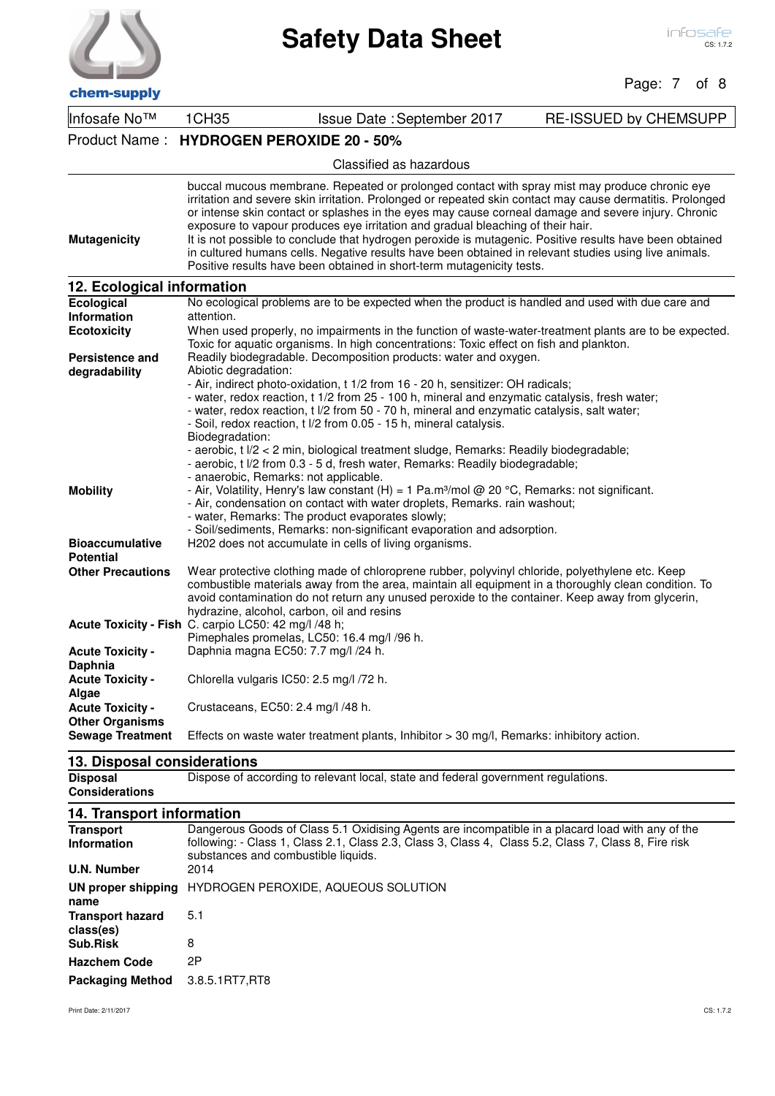$\overline{1}$ 

| chem-supply                                          |                                          |                                                                                                                                                                                                                                                                                                                                                                                                                                                                                                                                                                                                                                                                                                   | Page: 7 of 8                 |
|------------------------------------------------------|------------------------------------------|---------------------------------------------------------------------------------------------------------------------------------------------------------------------------------------------------------------------------------------------------------------------------------------------------------------------------------------------------------------------------------------------------------------------------------------------------------------------------------------------------------------------------------------------------------------------------------------------------------------------------------------------------------------------------------------------------|------------------------------|
| Infosafe No™                                         | 1CH35                                    | Issue Date: September 2017                                                                                                                                                                                                                                                                                                                                                                                                                                                                                                                                                                                                                                                                        | <b>RE-ISSUED by CHEMSUPP</b> |
|                                                      | Product Name: HYDROGEN PEROXIDE 20 - 50% |                                                                                                                                                                                                                                                                                                                                                                                                                                                                                                                                                                                                                                                                                                   |                              |
|                                                      |                                          | Classified as hazardous                                                                                                                                                                                                                                                                                                                                                                                                                                                                                                                                                                                                                                                                           |                              |
| <b>Mutagenicity</b>                                  |                                          | buccal mucous membrane. Repeated or prolonged contact with spray mist may produce chronic eye<br>irritation and severe skin irritation. Prolonged or repeated skin contact may cause dermatitis. Prolonged<br>or intense skin contact or splashes in the eyes may cause corneal damage and severe injury. Chronic<br>exposure to vapour produces eye irritation and gradual bleaching of their hair.<br>It is not possible to conclude that hydrogen peroxide is mutagenic. Positive results have been obtained<br>in cultured humans cells. Negative results have been obtained in relevant studies using live animals.<br>Positive results have been obtained in short-term mutagenicity tests. |                              |
| 12. Ecological information                           |                                          |                                                                                                                                                                                                                                                                                                                                                                                                                                                                                                                                                                                                                                                                                                   |                              |
| Ecological<br>Information                            | attention.                               | No ecological problems are to be expected when the product is handled and used with due care and                                                                                                                                                                                                                                                                                                                                                                                                                                                                                                                                                                                                  |                              |
| <b>Ecotoxicity</b>                                   |                                          | When used properly, no impairments in the function of waste-water-treatment plants are to be expected.                                                                                                                                                                                                                                                                                                                                                                                                                                                                                                                                                                                            |                              |
|                                                      |                                          | Toxic for aquatic organisms. In high concentrations: Toxic effect on fish and plankton.                                                                                                                                                                                                                                                                                                                                                                                                                                                                                                                                                                                                           |                              |
| <b>Persistence and</b><br>degradability              | Abiotic degradation:                     | Readily biodegradable. Decomposition products: water and oxygen.                                                                                                                                                                                                                                                                                                                                                                                                                                                                                                                                                                                                                                  |                              |
|                                                      | Biodegradation:                          | - Air, indirect photo-oxidation, t 1/2 from 16 - 20 h, sensitizer: OH radicals;<br>- water, redox reaction, t 1/2 from 25 - 100 h, mineral and enzymatic catalysis, fresh water;<br>- water, redox reaction, t I/2 from 50 - 70 h, mineral and enzymatic catalysis, salt water;<br>- Soil, redox reaction, t I/2 from 0.05 - 15 h, mineral catalysis.<br>- aerobic, t I/2 < 2 min, biological treatment sludge, Remarks: Readily biodegradable;<br>- aerobic, t I/2 from 0.3 - 5 d, fresh water, Remarks: Readily biodegradable;<br>- anaerobic, Remarks: not applicable.                                                                                                                         |                              |
| <b>Mobility</b>                                      |                                          | - Air, Volatility, Henry's law constant (H) = 1 Pa.m <sup>3</sup> /mol @ 20 °C, Remarks: not significant.<br>- Air, condensation on contact with water droplets, Remarks. rain washout;<br>- water, Remarks: The product evaporates slowly;<br>- Soil/sediments, Remarks: non-significant evaporation and adsorption.                                                                                                                                                                                                                                                                                                                                                                             |                              |
| <b>Bioaccumulative</b><br><b>Potential</b>           |                                          | H202 does not accumulate in cells of living organisms.                                                                                                                                                                                                                                                                                                                                                                                                                                                                                                                                                                                                                                            |                              |
| <b>Other Precautions</b>                             |                                          | Wear protective clothing made of chloroprene rubber, polyvinyl chloride, polyethylene etc. Keep<br>combustible materials away from the area, maintain all equipment in a thoroughly clean condition. To<br>avoid contamination do not return any unused peroxide to the container. Keep away from glycerin,<br>hydrazine, alcohol, carbon, oil and resins                                                                                                                                                                                                                                                                                                                                         |                              |
| Acute Toxicity - Fish C. carpio LC50: 42 mg/l /48 h; |                                          | Pimephales promelas, LC50: 16.4 mg/l /96 h.                                                                                                                                                                                                                                                                                                                                                                                                                                                                                                                                                                                                                                                       |                              |
| <b>Acute Toxicity -</b><br>Daphnia                   |                                          | Daphnia magna EC50: 7.7 mg/l /24 h.                                                                                                                                                                                                                                                                                                                                                                                                                                                                                                                                                                                                                                                               |                              |
| <b>Acute Toxicity -</b><br>Algae                     |                                          | Chlorella vulgaris IC50: 2.5 mg/l /72 h.                                                                                                                                                                                                                                                                                                                                                                                                                                                                                                                                                                                                                                                          |                              |
| <b>Acute Toxicity -</b><br><b>Other Organisms</b>    |                                          | Crustaceans, EC50: 2.4 mg/l /48 h.                                                                                                                                                                                                                                                                                                                                                                                                                                                                                                                                                                                                                                                                |                              |
| <b>Sewage Treatment</b>                              |                                          | Effects on waste water treatment plants, Inhibitor > 30 mg/l, Remarks: inhibitory action.                                                                                                                                                                                                                                                                                                                                                                                                                                                                                                                                                                                                         |                              |
| 13. Disposal considerations                          |                                          |                                                                                                                                                                                                                                                                                                                                                                                                                                                                                                                                                                                                                                                                                                   |                              |

**Disposal Community Dispose of according to relevant local, state and federal government regulations. Considerations**

## **14. Transport information**

| <b>Transport</b><br><b>Information</b> | Dangerous Goods of Class 5.1 Oxidising Agents are incompatible in a placard load with any of the<br>following: - Class 1, Class 2.1, Class 2.3, Class 3, Class 4, Class 5.2, Class 7, Class 8, Fire risk<br>substances and combustible liquids. |  |  |
|----------------------------------------|-------------------------------------------------------------------------------------------------------------------------------------------------------------------------------------------------------------------------------------------------|--|--|
| U.N. Number                            | 2014                                                                                                                                                                                                                                            |  |  |
| UN proper shipping<br>name             | HYDROGEN PEROXIDE, AQUEOUS SOLUTION                                                                                                                                                                                                             |  |  |
| <b>Transport hazard</b><br>class(es)   | 5.1                                                                                                                                                                                                                                             |  |  |
| Sub.Risk                               | 8                                                                                                                                                                                                                                               |  |  |
| <b>Hazchem Code</b>                    | 2P                                                                                                                                                                                                                                              |  |  |
| <b>Packaging Method</b>                | 3.8.5.1RT7,RT8                                                                                                                                                                                                                                  |  |  |
|                                        |                                                                                                                                                                                                                                                 |  |  |